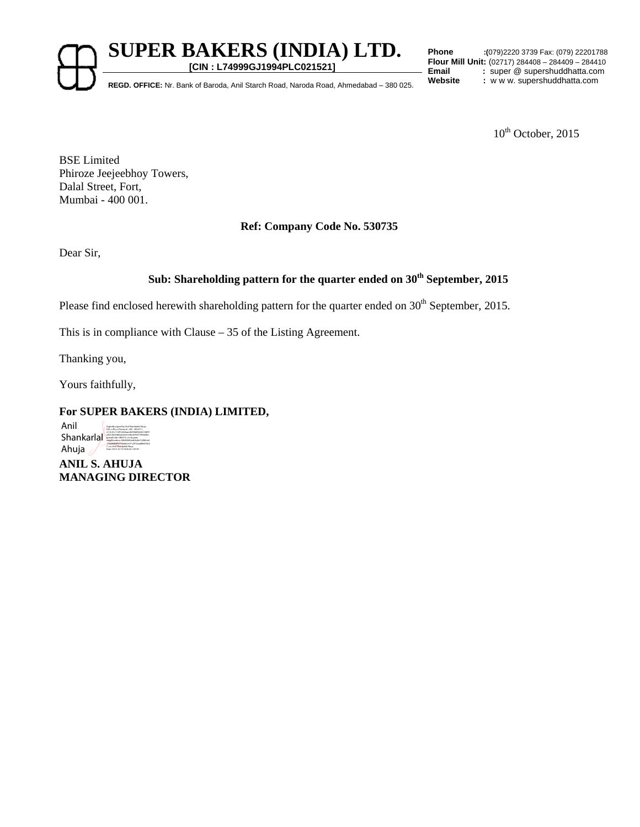**SUPER BAKERS (INDIA) LTD.** 

**[CIN : L74999GJ1994PLC021521]**

**Phone :(**079)2220 3739 Fax: (079) 22201788 **Flour Mill Unit:** (02717) 284408 – 284409 – 284410 **Email** : super @ supershuddhatta.com<br> **Website** : www.supershuddhatta.com

**REGD. OFFICE:** Nr. Bank of Baroda, Anil Starch Road, Naroda Road, Ahmedabad – 380 025.

 $10^{th}$  October, 2015

BSE Limited Phiroze Jeejeebhoy Towers, Dalal Street, Fort, Mumbai - 400 001.

## **Ref: Company Code No. 530735**

Dear Sir,

# Sub: Shareholding pattern for the quarter ended on 30<sup>th</sup> September, 2015

Please find enclosed herewith shareholding pattern for the quarter ended on 30<sup>th</sup> September, 2015.

This is in compliance with Clause – 35 of the Listing Agreement.

Thanking you,

Yours faithfully,

## **For SUPER BAKERS (INDIA) LIMITED,**

Anil  $Shankar$ Ahuja Digitally signed by Anil Shankarlal Ahuja DN: c=IN, o=Personal , CID - 3924711, 7, cn=Anil Shankarlal Ahuja Date: 2015.10.10 18:45:26 +05'30'

**ANIL S. AHUJA MANAGING DIRECTOR**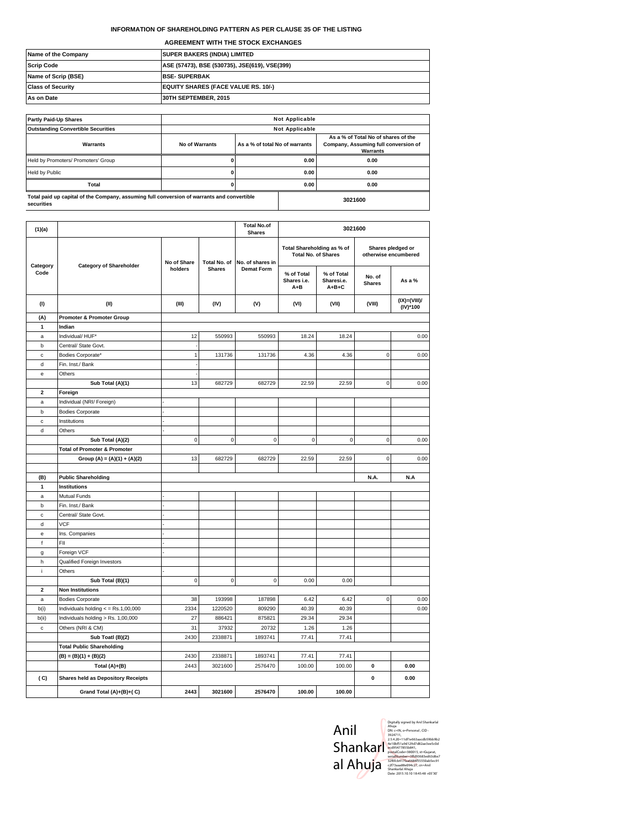### **INFORMATION OF SHAREHOLDING PATTERN AS PER CLAUSE 35 OF THE LISTING**

**AGREEMENT WITH THE STOCK EXCHANGES**

| Name of the Company      | <b>SUPER BAKERS (INDIA) LIMITED</b>           |
|--------------------------|-----------------------------------------------|
| <b>Scrip Code</b>        | ASE (57473), BSE (530735), JSE(619), VSE(399) |
| Name of Scrip (BSE)      | <b>BSE-SUPERBAK</b>                           |
| <b>Class of Security</b> | <b>EQUITY SHARES (FACE VALUE RS. 10/-)</b>    |
| As on Date               | 30TH SEPTEMBER, 2015                          |

| <b>Partly Paid-Up Shares</b>                                                                             | <b>Not Applicable</b>                            |              |                                                                                         |      |  |
|----------------------------------------------------------------------------------------------------------|--------------------------------------------------|--------------|-----------------------------------------------------------------------------------------|------|--|
| <b>Outstanding Convertible Securities</b>                                                                | <b>Not Applicable</b>                            |              |                                                                                         |      |  |
| Warrants                                                                                                 | As a % of total No of warrants<br>No of Warrants |              | As a % of Total No of shares of the<br>Company, Assuming full conversion of<br>Warrants |      |  |
| Held by Promoters/ Promoters' Group                                                                      |                                                  |              | 0.00                                                                                    | 0.00 |  |
| <b>Held by Public</b>                                                                                    |                                                  | 0.00         |                                                                                         | 0.00 |  |
| <b>Total</b>                                                                                             |                                                  | 0.00<br>0.00 |                                                                                         |      |  |
| Total paid up capital of the Company, assuming full conversion of warrants and convertible<br>securities |                                                  | 3021600      |                                                                                         |      |  |

| (1)(a)                  |                                              |             |               | <b>Total No.of</b><br><b>Shares</b> |                                                          | 3021600                                 |                         |                                           |
|-------------------------|----------------------------------------------|-------------|---------------|-------------------------------------|----------------------------------------------------------|-----------------------------------------|-------------------------|-------------------------------------------|
| Category                | <b>Category of Shareholder</b>               | No of Share | Total No. of  | No. of shares in                    | Total Shareholding as % of<br><b>Total No. of Shares</b> |                                         |                         | Shares pledged or<br>otherwise encumbered |
| Code                    |                                              | holders     | <b>Shares</b> | <b>Demat Form</b>                   | % of Total<br>Shares i.e.<br>A+B                         | % of Total<br>Sharesi.e.<br>$A + B + C$ | No. of<br><b>Shares</b> | As a %                                    |
| (1)                     | (II)                                         | (III)       | (IV)          | (V)                                 | (VI)                                                     | (VII)                                   | (VIII)                  | (IX)=(VIII)/<br>(IV)*100                  |
| (A)                     | <b>Promoter &amp; Promoter Group</b>         |             |               |                                     |                                                          |                                         |                         |                                           |
| 1                       | Indian                                       |             |               |                                     |                                                          |                                         |                         |                                           |
| $\mathsf{a}$            | Individual/ HUF*                             | 12          | 550993        | 550993                              | 18.24                                                    | 18.24                                   |                         | 0.00                                      |
| b                       | Central/ State Govt.                         |             |               |                                     |                                                          |                                         |                         |                                           |
| $\mathbf c$             | Bodies Corporate*                            | 1           | 131736        | 131736                              | 4.36                                                     | 4.36                                    | $\mathbf 0$             | 0.00                                      |
| d                       | Fin. Inst./ Bank                             |             |               |                                     |                                                          |                                         |                         |                                           |
| e                       | Others                                       |             |               |                                     |                                                          |                                         |                         |                                           |
|                         | Sub Total (A)(1)                             | 13          | 682729        | 682729                              | 22.59                                                    | 22.59                                   | $\mathbf 0$             | 0.00                                      |
| $\overline{\mathbf{2}}$ | Foreign                                      |             |               |                                     |                                                          |                                         |                         |                                           |
| a                       | Individual (NRI/ Foreign)                    |             |               |                                     |                                                          |                                         |                         |                                           |
| b                       | <b>Bodies Corporate</b>                      |             |               |                                     |                                                          |                                         |                         |                                           |
| $\mathbf{c}$            | Institutions                                 |             |               |                                     |                                                          |                                         |                         |                                           |
| d                       | Others                                       |             |               |                                     |                                                          |                                         |                         |                                           |
|                         | Sub Total (A)(2)                             | $\pmb{0}$   | $\pmb{0}$     | $\bf 0$                             | 0                                                        | $\pmb{0}$                               | $\mathsf 0$             | 0.00                                      |
|                         | <b>Total of Promoter &amp; Promoter</b>      |             |               |                                     |                                                          |                                         |                         |                                           |
|                         | Group (A) = (A)(1) + (A)(2)                  | 13          | 682729        | 682729                              | 22.59                                                    | 22.59                                   | $\mathsf 0$             | 0.00                                      |
|                         |                                              |             |               |                                     |                                                          |                                         |                         |                                           |
| (B)                     | <b>Public Shareholding</b>                   |             |               |                                     |                                                          |                                         | N.A.                    | N.A                                       |
| $\blacktriangleleft$    | Institutions                                 |             |               |                                     |                                                          |                                         |                         |                                           |
| a                       | Mutual Funds                                 |             |               |                                     |                                                          |                                         |                         |                                           |
| b                       | Fin. Inst./ Bank                             |             |               |                                     |                                                          |                                         |                         |                                           |
| $\mathbf c$             | Central/ State Govt.                         |             |               |                                     |                                                          |                                         |                         |                                           |
| d                       | <b>VCF</b>                                   |             |               |                                     |                                                          |                                         |                         |                                           |
| e                       | Ins. Companies                               |             |               |                                     |                                                          |                                         |                         |                                           |
| $^\mathrm{f}$           | FII                                          |             |               |                                     |                                                          |                                         |                         |                                           |
| g                       | Foreign VCF                                  |             |               |                                     |                                                          |                                         |                         |                                           |
| h                       | Qualified Foreign Investors                  |             |               |                                     |                                                          |                                         |                         |                                           |
| j.                      | Others                                       |             |               |                                     |                                                          |                                         |                         |                                           |
|                         | Sub Total (B)(1)                             | $\mathbf 0$ | $\pmb{0}$     | $\mathbf 0$                         | 0.00                                                     | 0.00                                    |                         |                                           |
| $\overline{\mathbf{2}}$ | <b>Non Institutions</b>                      |             |               |                                     |                                                          |                                         |                         |                                           |
| $\mathsf{a}$            | <b>Bodies Corporate</b>                      | 38          | 193998        | 187898                              | 6.42                                                     | 6.42                                    | $\mathsf 0$             | 0.00                                      |
| b(i)                    | Individuals holding $\epsilon$ = Rs.1,00,000 | 2334        | 1220520       | 809290                              | 40.39                                                    | 40.39                                   |                         | 0.00                                      |
| b(ii)                   | Individuals holding > Rs. 1,00,000           | 27          | 886421        | 875821                              | 29.34                                                    | 29.34                                   |                         |                                           |
| $\mathbf c$             | Others (NRI & CM)                            | 31          | 37932         | 20732                               | 1.26                                                     | 1.26                                    |                         |                                           |
|                         | Sub Toatl (B)(2)                             | 2430        | 2338871       | 1893741                             | 77.41                                                    | 77.41                                   |                         |                                           |
|                         | <b>Total Public Shareholding</b>             |             |               |                                     |                                                          |                                         |                         |                                           |
|                         | $(B) = (B)(1) + (B)(2)$                      | 2430        | 2338871       | 1893741                             | 77.41                                                    | 77.41                                   |                         |                                           |
|                         | Total (A)+(B)                                | 2443        | 3021600       | 2576470                             | 100.00                                                   | 100.00                                  | 0                       | 0.00                                      |
| (C)                     | <b>Shares held as Depository Receipts</b>    |             |               |                                     |                                                          |                                         | $\pmb{0}$               | 0.00                                      |
|                         | Grand Total (A)+(B)+(C)                      | 2443        | 3021600       | 2576470                             | 100.00                                                   | 100.00                                  |                         |                                           |
|                         |                                              |             |               |                                     |                                                          |                                         |                         |                                           |

| Anil     |  |
|----------|--|
| Shankarl |  |
| al Ahuja |  |

Digitally signed by Anil Shankarlal<br>Ahuja<br>DN: c=IN, o=Personal , CID -<br>3924711,<br>2.5.4.20=11df1e663aacdb59bb9b2<br>4e10bf51a9d129d7d82ae3ee5c0d ecd95477855b841, postalCode=380015, st=Gujarat,<br>serialNumber=3ffd93683ed63d6e7<br>32f6fcb417faa6684f55550ab5ec91<br>c2f73aaa88e094c27, cn=Anil<br>Shankarlal Ahuja<br>Date: 2015.10.10 18:45:48 +05'30'